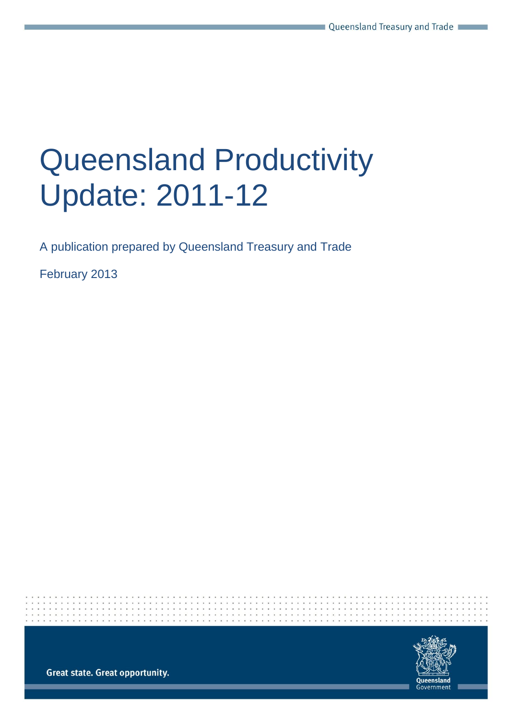# Queensland Productivity Update: 2011-12

A publication prepared by Queensland Treasury and Trade

February 2013



**Great state. Great opportunity.**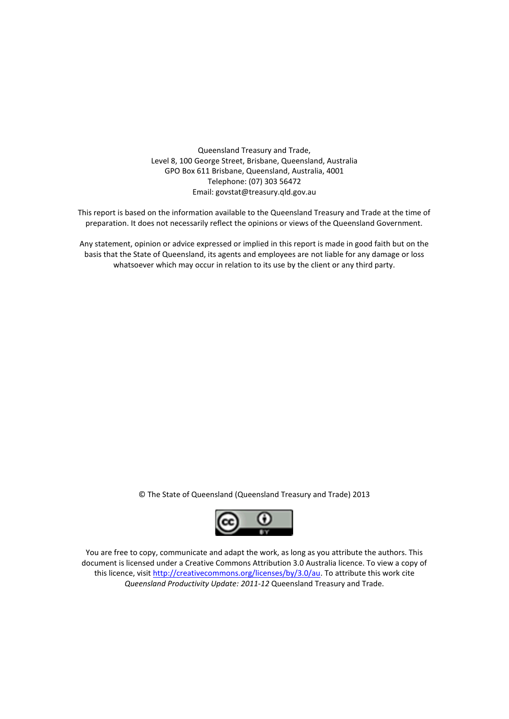Queensland Treasury and Trade, Level 8, 100 George Street, Brisbane, Queensland, Australia GPO Box 611 Brisbane, Queensland, Australia, 4001 Telephone: (07) 303 56472 Email: govstat@treasury.qld.gov.au

This report is based on the information available to the Queensland Treasury and Trade at the time of preparation. It does not necessarily reflect the opinions or views of the Queensland Government.

Any statement, opinion or advice expressed or implied in this report is made in good faith but on the basis that the State of Queensland, its agents and employees are not liable for any damage or loss whatsoever which may occur in relation to its use by the client or any third party.

© The State of Queensland (Queensland Treasury and Trade) 2013



You are free to copy, communicate and adapt the work, as long as you attribute the authors. This document is licensed under a Creative Commons Attribution 3.0 Australia licence. To view a copy of this licence, visit http://creativecommons.org/licenses/by/3.0/au</u>. To attribute this work cite *Queensland Productivity Update: 2011-12* Queensland Treasury and Trade.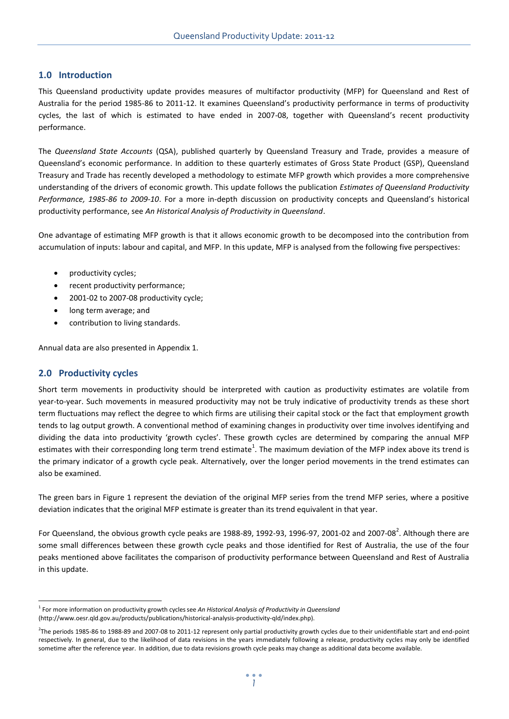## **1.0 Introduction**

This Queensland productivity update provides measures of multifactor productivity (MFP) for Queensland and Rest of Australia for the period 1985-86 to 2011-12. It examines Queensland's productivity performance in terms of productivity cycles, the last of which is estimated to have ended in 2007-08, together with Queensland's recent productivity performance.

The *Queensland State Accounts* (QSA), published quarterly by Queensland Treasury and Trade, provides a measure of Queensland's economic performance. In addition to these quarterly estimates of Gross State Product (GSP), Queensland Treasury and Trade has recently developed a methodology to estimate MFP growth which provides a more comprehensive understanding of the drivers of economic growth. This update follows the publication *Estimates of Queensland Productivity Performance, 1985-86 to 2009-10*. For a more in-depth discussion on productivity concepts and Queensland's historical productivity performance, see *An Historical Analysis of Productivity in Queensland*.

One advantage of estimating MFP growth is that it allows economic growth to be decomposed into the contribution from accumulation of inputs: labour and capital, and MFP. In this update, MFP is analysed from the following five perspectives:

- productivity cycles;
- recent productivity performance;
- 2001-02 to 2007-08 productivity cycle;
- long term average; and
- contribution to living standards.

Annual data are also presented in Appendix 1.

## **2.0 Productivity cycles**

 $\overline{a}$ 

Short term movements in productivity should be interpreted with caution as productivity estimates are volatile from year-to-year. Such movements in measured productivity may not be truly indicative of productivity trends as these short term fluctuations may reflect the degree to which firms are utilising their capital stock or the fact that employment growth tends to lag output growth. A conventional method of examining changes in productivity over time involves identifying and dividing the data into productivity 'growth cycles'. These growth cycles are determined by comparing the annual MFP estimates with their corresponding long term trend estimate<sup>1</sup>. The maximum deviation of the MFP index above its trend is the primary indicator of a growth cycle peak. Alternatively, over the longer period movements in the trend estimates can also be examined.

The green bars in Figure 1 represent the deviation of the original MFP series from the trend MFP series, where a positive deviation indicates that the original MFP estimate is greater than its trend equivalent in that year.

For Queensland, the obvious growth cycle peaks are 1988-89, 1992-93, 1996-97, 2001-02 and 2007-08<sup>2</sup>. Although there are some small differences between these growth cycle peaks and those identified for Rest of Australia, the use of the four peaks mentioned above facilitates the comparison of productivity performance between Queensland and Rest of Australia in this update.

<sup>&</sup>lt;sup>1</sup> For more information on productivity growth cycles see An Historical Analysis of Productivity in Queensland [\(http://www.oesr.qld.gov.au/products/publications/historical-analysis-productivity-qld/index.php\)](http://www.oesr.qld.gov.au/products/publications/historical-analysis-productivity-qld/index.php).

<sup>2</sup> The periods 1985-86 to 1988-89 and 2007-08 to 2011-12 represent only partial productivity growth cycles due to their unidentifiable start and end-point respectively. In general, due to the likelihood of data revisions in the years immediately following a release, productivity cycles may only be identified sometime after the reference year. In addition, due to data revisions growth cycle peaks may change as additional data become available.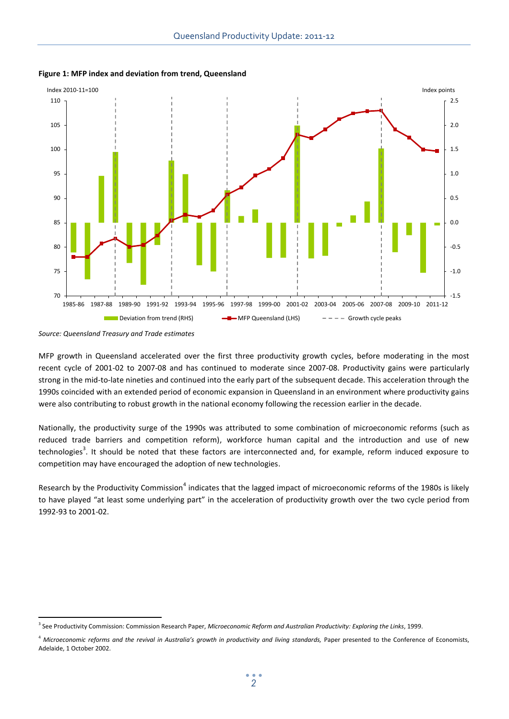

**Figure 1: MFP index and deviation from trend, Queensland**

MFP growth in Queensland accelerated over the first three productivity growth cycles, before moderating in the most recent cycle of 2001-02 to 2007-08 and has continued to moderate since 2007-08. Productivity gains were particularly strong in the mid-to-late nineties and continued into the early part of the subsequent decade. This acceleration through the 1990s coincided with an extended period of economic expansion in Queensland in an environment where productivity gains were also contributing to robust growth in the national economy following the recession earlier in the decade.

Nationally, the productivity surge of the 1990s was attributed to some combination of microeconomic reforms (such as reduced trade barriers and competition reform), workforce human capital and the introduction and use of new technologies<sup>3</sup>. It should be noted that these factors are interconnected and, for example, reform induced exposure to competition may have encouraged the adoption of new technologies.

Research by the Productivity Commission<sup>4</sup> indicates that the lagged impact of microeconomic reforms of the 1980s is likely to have played "at least some underlying part" in the acceleration of productivity growth over the two cycle period from 1992-93 to 2001-02.

*Source: Queensland Treasury and Trade estimates*

 $\overline{a}$ 3 See Productivity Commission: Commission Research Paper, *Microeconomic Reform and Australian Productivity: Exploring the Links*, 1999.

<sup>&</sup>lt;sup>4</sup> Microeconomic reforms and the revival in Australia's growth in productivity and living standards, Paper presented to the Conference of Economists, Adelaide, 1 October 2002.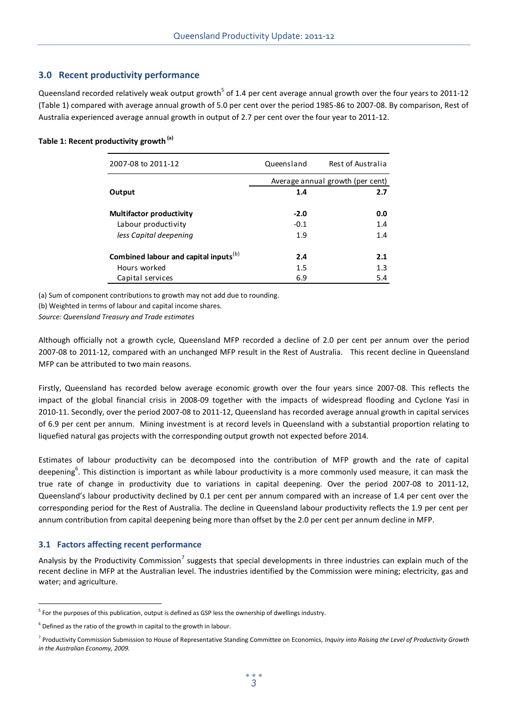# **3.0 Recent productivity performance**

Queensland recorded relatively weak output growth<sup>5</sup> of 1.4 per cent average annual growth over the four years to 2011-12 (Table 1) compared with average annual growth of 5.0 per cent over the period 1985-86 to 2007-08. By comparison, Rest of Australia experienced average annual growth in output of 2.7 per cent over the four year to 2011-12.

#### **Table 1: Recent productivity growth (a)**

| 2007-08 to 2011-12                                | Queensland                       | Rest of Australia |  |  |  |
|---------------------------------------------------|----------------------------------|-------------------|--|--|--|
|                                                   | Average annual growth (per cent) |                   |  |  |  |
| Output                                            | 1.4                              | 2.7               |  |  |  |
| <b>Multifactor productivity</b>                   | $-2.0$                           | 0.0               |  |  |  |
| Labour productivity                               | $-0.1$                           | 1.4               |  |  |  |
| less Capital deepening                            | 1.9                              | 1.4               |  |  |  |
| Combined labour and capital inputs <sup>(b)</sup> | 2.4                              | 2.1               |  |  |  |
| Hours worked                                      | 1.5                              | 1.3               |  |  |  |
| Capital services                                  | 6.9                              | 5.4               |  |  |  |

(a) Sum of component contributions to growth may not add due to rounding.

(b) Weighted in terms of labour and capital income shares.

*Source: Queensland Treasury and Trade estimates*

Although officially not a growth cycle, Queensland MFP recorded a decline of 2.0 per cent per annum over the period 2007-08 to 2011-12, compared with an unchanged MFP result in the Rest of Australia. This recent decline in Queensland MFP can be attributed to two main reasons.

Firstly, Queensland has recorded below average economic growth over the four years since 2007-08. This reflects the impact of the global financial crisis in 2008-09 together with the impacts of widespread flooding and Cyclone Yasi in 2010-11. Secondly, over the period 2007-08 to 2011-12, Queensland has recorded average annual growth in capital services of 6.9 per cent per annum. Mining investment is at record levels in Queensland with a substantial proportion relating to liquefied natural gas projects with the corresponding output growth not expected before 2014.

Estimates of labour productivity can be decomposed into the contribution of MFP growth and the rate of capital deepening<sup>6</sup>. This distinction is important as while labour productivity is a more commonly used measure, it can mask the true rate of change in productivity due to variations in capital deepening. Over the period 2007-08 to 2011-12, Queensland's labour productivity declined by 0.1 per cent per annum compared with an increase of 1.4 per cent over the corresponding period for the Rest of Australia. The decline in Queensland labour productivity reflects the 1.9 per cent per annum contribution from capital deepening being more than offset by the 2.0 per cent per annum decline in MFP.

## **3.1 Factors affecting recent performance**

 $\overline{a}$ 

Analysis by the Productivity Commission<sup>7</sup> suggests that special developments in three industries can explain much of the recent decline in MFP at the Australian level. The industries identified by the Commission were mining; electricity, gas and water; and agriculture.

<sup>&</sup>lt;sup>5</sup> For the purposes of this publication, output is defined as GSP less the ownership of dwellings industry.

 $6$  Defined as the ratio of the growth in capital to the growth in labour.

<sup>7</sup> Productivity Commission Submission to House of Representative Standing Committee on Economics, *Inquiry into Raising the Level of Productivity Growth in the Australian Economy, 2009.*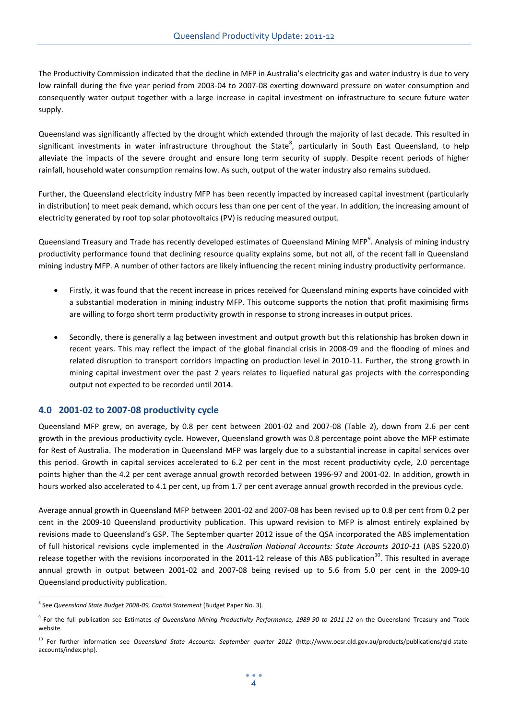The Productivity Commission indicated that the decline in MFP in Australia's electricity gas and water industry is due to very low rainfall during the five year period from 2003-04 to 2007-08 exerting downward pressure on water consumption and consequently water output together with a large increase in capital investment on infrastructure to secure future water supply.

Queensland was significantly affected by the drought which extended through the majority of last decade. This resulted in significant investments in water infrastructure throughout the State<sup>8</sup>, particularly in South East Queensland, to help alleviate the impacts of the severe drought and ensure long term security of supply. Despite recent periods of higher rainfall, household water consumption remains low. As such, output of the water industry also remains subdued.

Further, the Queensland electricity industry MFP has been recently impacted by increased capital investment (particularly in distribution) to meet peak demand, which occurs less than one per cent of the year. In addition, the increasing amount of electricity generated by roof top solar photovoltaics (PV) is reducing measured output.

Queensland Treasury and Trade has recently developed estimates of Queensland Mining MFP<sup>9</sup>. Analysis of mining industry productivity performance found that declining resource quality explains some, but not all, of the recent fall in Queensland mining industry MFP. A number of other factors are likely influencing the recent mining industry productivity performance.

- Firstly, it was found that the recent increase in prices received for Queensland mining exports have coincided with a substantial moderation in mining industry MFP. This outcome supports the notion that profit maximising firms are willing to forgo short term productivity growth in response to strong increases in output prices.
- Secondly, there is generally a lag between investment and output growth but this relationship has broken down in recent years. This may reflect the impact of the global financial crisis in 2008-09 and the flooding of mines and related disruption to transport corridors impacting on production level in 2010-11. Further, the strong growth in mining capital investment over the past 2 years relates to liquefied natural gas projects with the corresponding output not expected to be recorded until 2014.

## **4.0 2001-02 to 2007-08 productivity cycle**

Queensland MFP grew, on average, by 0.8 per cent between 2001-02 and 2007-08 (Table 2), down from 2.6 per cent growth in the previous productivity cycle. However, Queensland growth was 0.8 percentage point above the MFP estimate for Rest of Australia. The moderation in Queensland MFP was largely due to a substantial increase in capital services over this period. Growth in capital services accelerated to 6.2 per cent in the most recent productivity cycle, 2.0 percentage points higher than the 4.2 per cent average annual growth recorded between 1996-97 and 2001-02. In addition, growth in hours worked also accelerated to 4.1 per cent, up from 1.7 per cent average annual growth recorded in the previous cycle.

Average annual growth in Queensland MFP between 2001-02 and 2007-08 has been revised up to 0.8 per cent from 0.2 per cent in the 2009-10 Queensland productivity publication. This upward revision to MFP is almost entirely explained by revisions made to Queensland's GSP. The September quarter 2012 issue of the QSA incorporated the ABS implementation of full historical revisions cycle implemented in the *Australian National Accounts: State Accounts 2010-11* (ABS 5220.0) release together with the revisions incorporated in the 2011-12 release of this ABS publication<sup>10</sup>. This resulted in average annual growth in output between 2001-02 and 2007-08 being revised up to 5.6 from 5.0 per cent in the 2009-10 Queensland productivity publication.

 $\overline{a}$ 

<sup>8</sup> See *Queensland State Budget 2008-09, Capital Statement* (Budget Paper No. 3).

<sup>9</sup> For the full publication see Estimates *of Queensland Mining Productivity Performance, 1989-90 to 2011-12* on the Queensland Treasury and Trade website.

<sup>10</sup> For further information see *Queensland State Accounts: September quarter 2012* [\(http://www.oesr.qld.gov.au/products/publications/qld-state](http://www.oesr.qld.gov.au/products/publications/qld-state-accounts/index.php)[accounts/index.php\).](http://www.oesr.qld.gov.au/products/publications/qld-state-accounts/index.php)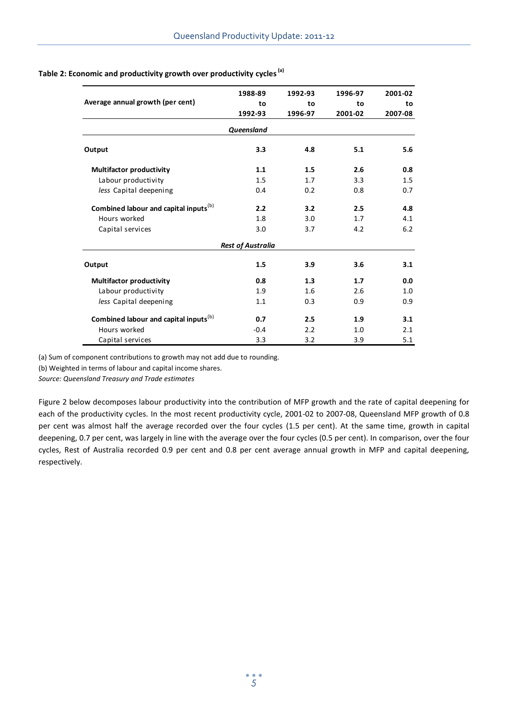|                                                   | 1988-89                  | 1992-93 | 1996-97 | 2001-02<br>to |  |
|---------------------------------------------------|--------------------------|---------|---------|---------------|--|
| Average annual growth (per cent)                  | to                       | to      | to      |               |  |
|                                                   | 1992-93                  | 1996-97 | 2001-02 | 2007-08       |  |
|                                                   | Queensland               |         |         |               |  |
| Output                                            | 3.3                      | 4.8     | 5.1     | 5.6           |  |
| <b>Multifactor productivity</b>                   | 1.1                      | 1.5     | 2.6     | 0.8           |  |
| Labour productivity                               | 1.5                      | 1.7     | 3.3     | 1.5           |  |
| less Capital deepening                            | 0.4                      | 0.2     | 0.8     | 0.7           |  |
| Combined labour and capital inputs <sup>(b)</sup> | 2.2                      | 3.2     | 2.5     | 4.8           |  |
| Hours worked                                      | 1.8                      | 3.0     | 1.7     | 4.1           |  |
| Capital services                                  | 3.0                      | 3.7     | 4.2     | 6.2           |  |
|                                                   | <b>Rest of Australia</b> |         |         |               |  |
| Output                                            | 1.5                      | 3.9     | 3.6     | 3.1           |  |
| <b>Multifactor productivity</b>                   | 0.8                      | 1.3     | 1.7     | 0.0           |  |
| Labour productivity                               | 1.9                      | 1.6     | 2.6     | 1.0           |  |
| less Capital deepening                            | 1.1                      | 0.3     | 0.9     | 0.9           |  |
| Combined labour and capital inputs <sup>(b)</sup> | 0.7                      | 2.5     | 1.9     | 3.1           |  |
| Hours worked                                      | $-0.4$                   | 2.2     | 1.0     | 2.1           |  |
| Capital services                                  | 3.3                      | 3.2     | 3.9     | 5.1           |  |

# **Table 2: Economic and productivity growth over productivity cycles(a)**

(a) Sum of component contributions to growth may not add due to rounding.

(b) Weighted in terms of labour and capital income shares.

*Source: Queensland Treasury and Trade estimates*

Figure 2 below decomposes labour productivity into the contribution of MFP growth and the rate of capital deepening for each of the productivity cycles. In the most recent productivity cycle, 2001-02 to 2007-08, Queensland MFP growth of 0.8 per cent was almost half the average recorded over the four cycles (1.5 per cent). At the same time, growth in capital deepening, 0.7 per cent, was largely in line with the average over the four cycles (0.5 per cent). In comparison, over the four cycles, Rest of Australia recorded 0.9 per cent and 0.8 per cent average annual growth in MFP and capital deepening, respectively.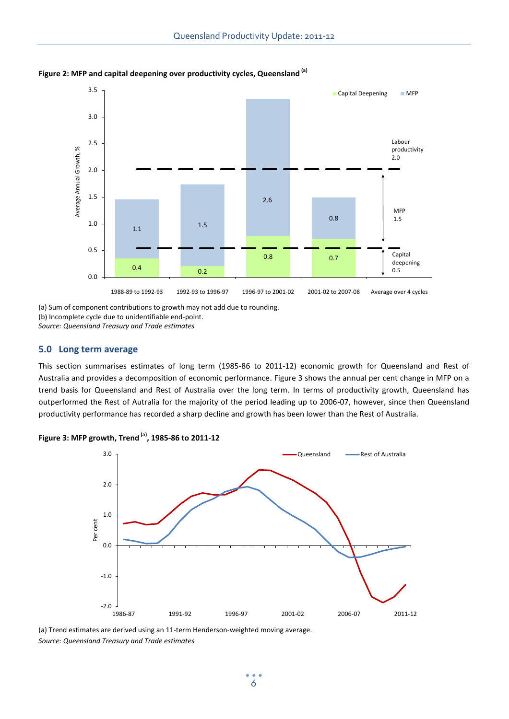

**Figure 2: MFP and capital deepening over productivity cycles, Queensland (a)**

(a) Sum of component contributions to growth may not add due to rounding.

(b) Incomplete cycle due to unidentifiable end-point.

*Source: Queensland Treasury and Trade estimates*

#### **5.0 Long term average**

This section summarises estimates of long term (1985-86 to 2011-12) economic growth for Queensland and Rest of Australia and provides a decomposition of economic performance. Figure 3 shows the annual per cent change in MFP on a trend basis for Queensland and Rest of Australia over the long term. In terms of productivity growth, Queensland has outperformed the Rest of Autralia for the majority of the period leading up to 2006-07, however, since then Queensland productivity performance has recorded a sharp decline and growth has been lower than the Rest of Australia.





(a) Trend estimates are derived using an 11-term Henderson-weighted moving average. *Source: Queensland Treasury and Trade estimates*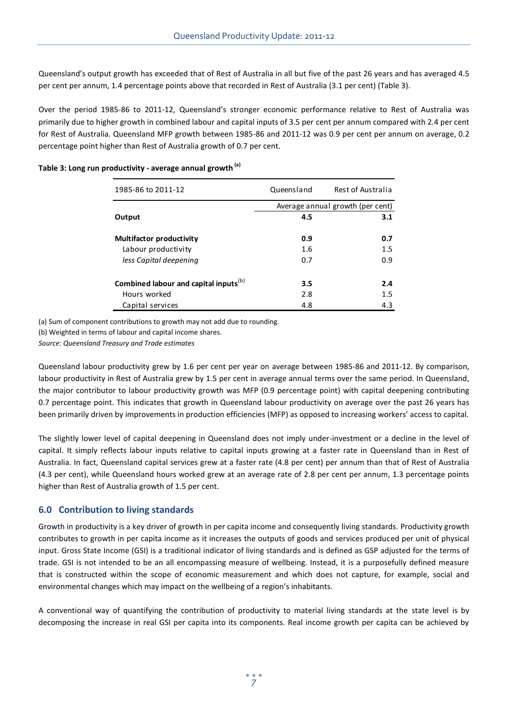Queensland's output growth has exceeded that of Rest of Australia in all but five of the past 26 years and has averaged 4.5 per cent per annum, 1.4 percentage points above that recorded in Rest of Australia (3.1 per cent) (Table 3).

Over the period 1985-86 to 2011-12, Queensland's stronger economic performance relative to Rest of Australia was primarily due to higher growth in combined labour and capital inputs of 3.5 per cent per annum compared with 2.4 per cent for Rest of Australia. Queensland MFP growth between 1985-86 and 2011-12 was 0.9 per cent per annum on average, 0.2 percentage point higher than Rest of Australia growth of 0.7 per cent.

| 1985-86 to 2011-12                                | Queensland | Rest of Australia                |  |  |  |  |
|---------------------------------------------------|------------|----------------------------------|--|--|--|--|
|                                                   |            | Average annual growth (per cent) |  |  |  |  |
| Output                                            | 4.5        | 3.1                              |  |  |  |  |
| <b>Multifactor productivity</b>                   | 0.9        | 0.7                              |  |  |  |  |
| Labour productivity                               | 1.6        | 1.5                              |  |  |  |  |
| less Capital deepening                            | 0.7        | 0.9                              |  |  |  |  |
| Combined labour and capital inputs <sup>(b)</sup> | 3.5        | 2.4                              |  |  |  |  |
| Hours worked                                      | 2.8        | 1.5                              |  |  |  |  |
| Capital services                                  | 4.8        | 4.3                              |  |  |  |  |

# **Table 3: Long run productivity - average annual growth (a)**

(a) Sum of component contributions to growth may not add due to rounding.

(b) Weighted in terms of labour and capital income shares.

*Source: Queensland Treasury and Trade estimates*

Queensland labour productivity grew by 1.6 per cent per year on average between 1985-86 and 2011-12. By comparison, labour productivity in Rest of Australia grew by 1.5 per cent in average annual terms over the same period. In Queensland, the major contributor to labour productivity growth was MFP (0.9 percentage point) with capital deepening contributing 0.7 percentage point. This indicates that growth in Queensland labour productivity on average over the past 26 years has been primarily driven by improvements in production efficiencies (MFP) as opposed to increasing workers' access to capital.

The slightly lower level of capital deepening in Queensland does not imply under-investment or a decline in the level of capital. It simply reflects labour inputs relative to capital inputs growing at a faster rate in Queensland than in Rest of Australia. In fact, Queensland capital services grew at a faster rate (4.8 per cent) per annum than that of Rest of Australia (4.3 per cent), while Queensland hours worked grew at an average rate of 2.8 per cent per annum, 1.3 percentage points higher than Rest of Australia growth of 1.5 per cent.

## **6.0 Contribution to living standards**

Growth in productivity is a key driver of growth in per capita income and consequently living standards. Productivity growth contributes to growth in per capita income as it increases the outputs of goods and services produced per unit of physical input. Gross State Income (GSI) is a traditional indicator of living standards and is defined as GSP adjusted for the terms of trade. GSI is not intended to be an all encompassing measure of wellbeing. Instead, it is a purposefully defined measure that is constructed within the scope of economic measurement and which does not capture, for example, social and environmental changes which may impact on the wellbeing of a region's inhabitants.

A conventional way of quantifying the contribution of productivity to material living standards at the state level is by decomposing the increase in real GSI per capita into its components. Real income growth per capita can be achieved by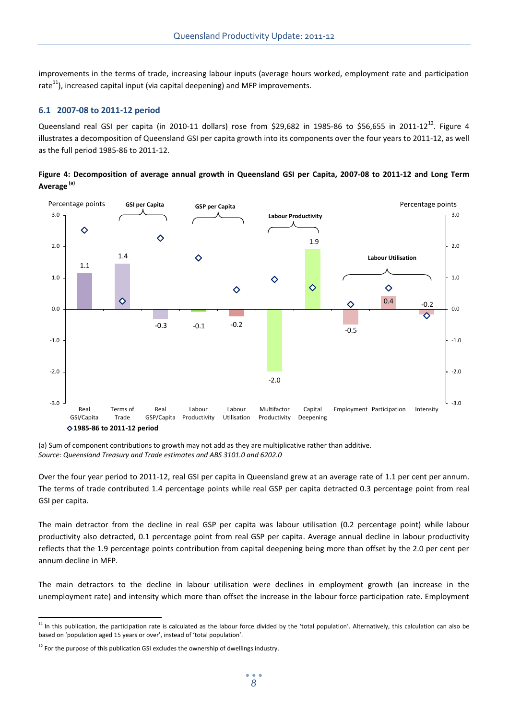improvements in the terms of trade, increasing labour inputs (average hours worked, employment rate and participation rate $^{11}$ ), increased capital input (via capital deepening) and MFP improvements.

#### **6.1 2007-08 to 2011-12 period**

Queensland real GSI per capita (in 2010-11 dollars) rose from \$29,682 in 1985-86 to \$56,655 in 2011-12<sup>12</sup>. Figure 4 illustrates a decomposition of Queensland GSI per capita growth into its components over the four years to 2011-12, as well as the full period 1985-86 to 2011-12.





(a) Sum of component contributions to growth may not add as they are multiplicative rather than additive. *Source: Queensland Treasury and Trade estimates and ABS 3101.0 and 6202.0*

Over the four year period to 2011-12, real GSI per capita in Queensland grew at an average rate of 1.1 per cent per annum. The terms of trade contributed 1.4 percentage points while real GSP per capita detracted 0.3 percentage point from real GSI per capita.

The main detractor from the decline in real GSP per capita was labour utilisation (0.2 percentage point) while labour productivity also detracted, 0.1 percentage point from real GSP per capita. Average annual decline in labour productivity reflects that the 1.9 percentage points contribution from capital deepening being more than offset by the 2.0 per cent per annum decline in MFP.

The main detractors to the decline in labour utilisation were declines in employment growth (an increase in the unemployment rate) and intensity which more than offset the increase in the labour force participation rate. Employment

 $\overline{a}$ <sup>11</sup> In this publication, the participation rate is calculated as the labour force divided by the 'total population'. Alternatively, this calculation can also be based on 'population aged 15 years or over', instead of 'total population'.

 $12$  For the purpose of this publication GSI excludes the ownership of dwellings industry.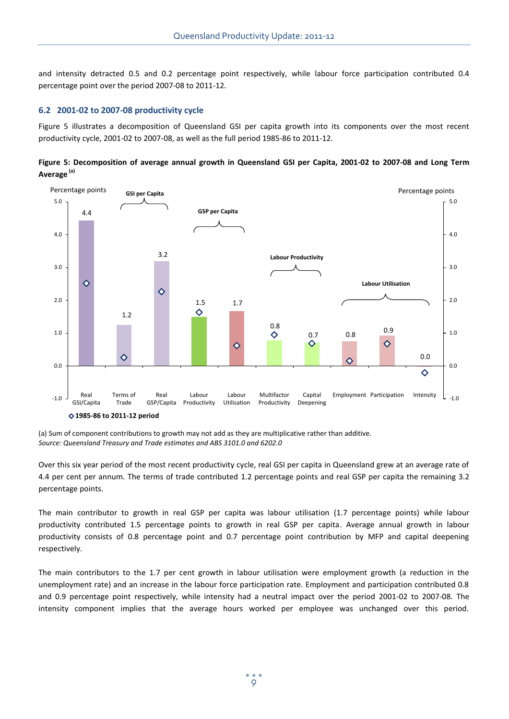and intensity detracted 0.5 and 0.2 percentage point respectively, while labour force participation contributed 0.4 percentage point over the period 2007-08 to 2011-12.

#### **6.2 2001-02 to 2007-08 productivity cycle**

Figure 5 illustrates a decomposition of Queensland GSI per capita growth into its components over the most recent productivity cycle, 2001-02 to 2007-08, as well as the full period 1985-86 to 2011-12.





(a) Sum of component contributions to growth may not add as they are multiplicative rather than additive. *Source: Queensland Treasury and Trade estimates and ABS 3101.0 and 6202.0*

Over this six year period of the most recent productivity cycle, real GSI per capita in Queensland grew at an average rate of 4.4 per cent per annum. The terms of trade contributed 1.2 percentage points and real GSP per capita the remaining 3.2 percentage points.

The main contributor to growth in real GSP per capita was labour utilisation (1.7 percentage points) while labour productivity contributed 1.5 percentage points to growth in real GSP per capita. Average annual growth in labour productivity consists of 0.8 percentage point and 0.7 percentage point contribution by MFP and capital deepening respectively.

The main contributors to the 1.7 per cent growth in labour utilisation were employment growth (a reduction in the unemployment rate) and an increase in the labour force participation rate. Employment and participation contributed 0.8 and 0.9 percentage point respectively, while intensity had a neutral impact over the period 2001-02 to 2007-08. The intensity component implies that the average hours worked per employee was unchanged over this period.